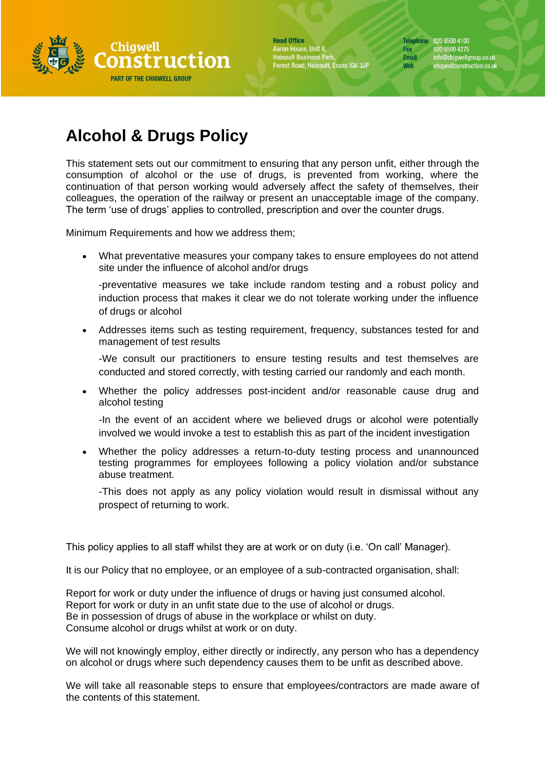

**Head Office** Aaron House, Unit 8, Hainault Business Park,<br>Forest Road, Hainault, Essex IG6 3JP Telephone 020 8500 4100 020 8500 4275 Fax Email info@chigwellgroup.co.uk<br>chigwellconstruction.co.uk Web

## **Alcohol & Drugs Policy**

This statement sets out our commitment to ensuring that any person unfit, either through the consumption of alcohol or the use of drugs, is prevented from working, where the continuation of that person working would adversely affect the safety of themselves, their colleagues, the operation of the railway or present an unacceptable image of the company. The term 'use of drugs' applies to controlled, prescription and over the counter drugs.

Minimum Requirements and how we address them;

• What preventative measures your company takes to ensure employees do not attend site under the influence of alcohol and/or drugs

-preventative measures we take include random testing and a robust policy and induction process that makes it clear we do not tolerate working under the influence of drugs or alcohol

• Addresses items such as testing requirement, frequency, substances tested for and management of test results

-We consult our practitioners to ensure testing results and test themselves are conducted and stored correctly, with testing carried our randomly and each month.

• Whether the policy addresses post-incident and/or reasonable cause drug and alcohol testing

-In the event of an accident where we believed drugs or alcohol were potentially involved we would invoke a test to establish this as part of the incident investigation

• Whether the policy addresses a return-to-duty testing process and unannounced testing programmes for employees following a policy violation and/or substance abuse treatment.

-This does not apply as any policy violation would result in dismissal without any prospect of returning to work.

This policy applies to all staff whilst they are at work or on duty (i.e. 'On call' Manager).

It is our Policy that no employee, or an employee of a sub-contracted organisation, shall:

Report for work or duty under the influence of drugs or having just consumed alcohol. Report for work or duty in an unfit state due to the use of alcohol or drugs. Be in possession of drugs of abuse in the workplace or whilst on duty. Consume alcohol or drugs whilst at work or on duty.

We will not knowingly employ, either directly or indirectly, any person who has a dependency on alcohol or drugs where such dependency causes them to be unfit as described above.

We will take all reasonable steps to ensure that employees/contractors are made aware of the contents of this statement.